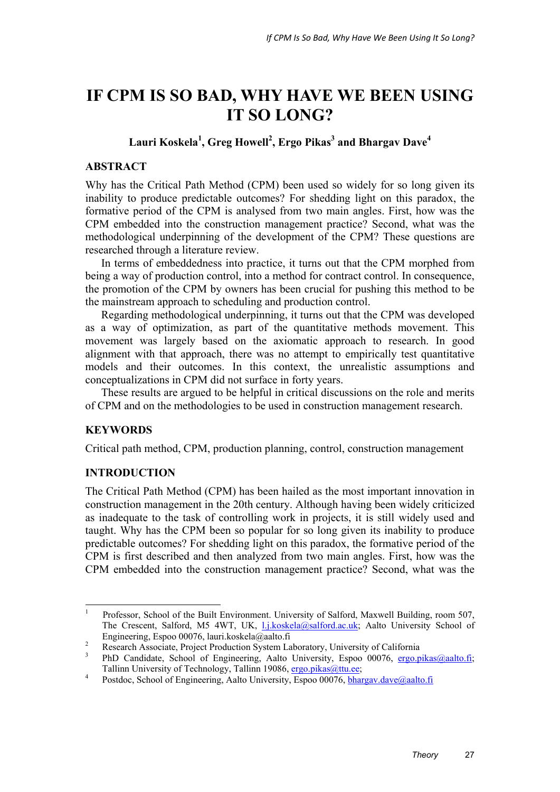# **IF CPM IS SO BAD, WHY HAVE WE BEEN USING IT SO LONG?**

# Lauri Koskela<sup>1</sup>, Greg Howell<sup>2</sup>, Ergo Pikas<sup>3</sup> and Bhargav Dave<sup>4</sup>

### **ABSTRACT**

Why has the Critical Path Method (CPM) been used so widely for so long given its inability to produce predictable outcomes? For shedding light on this paradox, the formative period of the CPM is analysed from two main angles. First, how was the CPM embedded into the construction management practice? Second, what was the methodological underpinning of the development of the CPM? These questions are researched through a literature review.

In terms of embeddedness into practice, it turns out that the CPM morphed from being a way of production control, into a method for contract control. In consequence, the promotion of the CPM by owners has been crucial for pushing this method to be the mainstream approach to scheduling and production control.

Regarding methodological underpinning, it turns out that the CPM was developed as a way of optimization, as part of the quantitative methods movement. This movement was largely based on the axiomatic approach to research. In good alignment with that approach, there was no attempt to empirically test quantitative models and their outcomes. In this context, the unrealistic assumptions and conceptualizations in CPM did not surface in forty years.

These results are argued to be helpful in critical discussions on the role and merits of CPM and on the methodologies to be used in construction management research.

## **KEYWORDS**

Critical path method, CPM, production planning, control, construction management

#### **INTRODUCTION**

The Critical Path Method (CPM) has been hailed as the most important innovation in construction management in the 20th century. Although having been widely criticized as inadequate to the task of controlling work in projects, it is still widely used and taught. Why has the CPM been so popular for so long given its inability to produce predictable outcomes? For shedding light on this paradox, the formative period of the CPM is first described and then analyzed from two main angles. First, how was the CPM embedded into the construction management practice? Second, what was the

 $\frac{1}{1}$  Professor, School of the Built Environment. University of Salford, Maxwell Building, room 507, The Crescent, Salford, M5 4WT, UK, l.j.koskela@salford.ac.uk; Aalto University School of Engineering, Espoo 00076, lauri.koskela@aalto.fi 2

Research Associate, Project Production System Laboratory, University of California

<sup>3</sup> PhD Candidate, School of Engineering, Aalto University, Espoo 00076, ergo.pikas@aalto.fi; Tallinn University of Technology, Tallinn 19086, ergo.pikas@ttu.ee;

Postdoc, School of Engineering, Aalto University, Espoo 00076, bhargav.dave@aalto.fi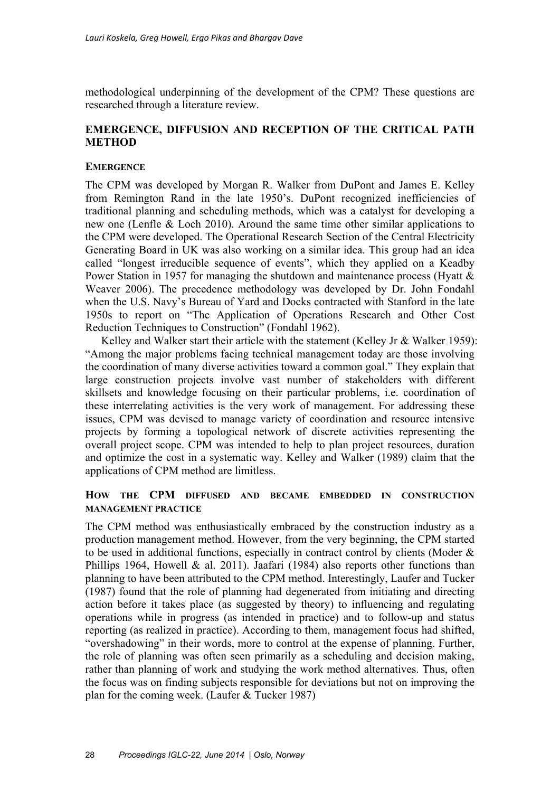methodological underpinning of the development of the CPM? These questions are researched through a literature review.

## **EMERGENCE, DIFFUSION AND RECEPTION OF THE CRITICAL PATH METHOD**

### **EMERGENCE**

The CPM was developed by Morgan R. Walker from DuPont and James E. Kelley from Remington Rand in the late 1950's. DuPont recognized inefficiencies of traditional planning and scheduling methods, which was a catalyst for developing a new one (Lenfle & Loch 2010). Around the same time other similar applications to the CPM were developed. The Operational Research Section of the Central Electricity Generating Board in UK was also working on a similar idea. This group had an idea called "longest irreducible sequence of events", which they applied on a Keadby Power Station in 1957 for managing the shutdown and maintenance process (Hyatt & Weaver 2006). The precedence methodology was developed by Dr. John Fondahl when the U.S. Navy's Bureau of Yard and Docks contracted with Stanford in the late 1950s to report on "The Application of Operations Research and Other Cost Reduction Techniques to Construction" (Fondahl 1962).

Kelley and Walker start their article with the statement (Kelley Jr & Walker 1959): "Among the major problems facing technical management today are those involving the coordination of many diverse activities toward a common goal." They explain that large construction projects involve vast number of stakeholders with different skillsets and knowledge focusing on their particular problems, i.e. coordination of these interrelating activities is the very work of management. For addressing these issues, CPM was devised to manage variety of coordination and resource intensive projects by forming a topological network of discrete activities representing the overall project scope. CPM was intended to help to plan project resources, duration and optimize the cost in a systematic way. Kelley and Walker (1989) claim that the applications of CPM method are limitless.

## **HOW THE CPM DIFFUSED AND BECAME EMBEDDED IN CONSTRUCTION MANAGEMENT PRACTICE**

The CPM method was enthusiastically embraced by the construction industry as a production management method. However, from the very beginning, the CPM started to be used in additional functions, especially in contract control by clients (Moder & Phillips 1964, Howell & al. 2011). Jaafari (1984) also reports other functions than planning to have been attributed to the CPM method. Interestingly, Laufer and Tucker (1987) found that the role of planning had degenerated from initiating and directing action before it takes place (as suggested by theory) to influencing and regulating operations while in progress (as intended in practice) and to follow-up and status reporting (as realized in practice). According to them, management focus had shifted, "overshadowing" in their words, more to control at the expense of planning. Further, the role of planning was often seen primarily as a scheduling and decision making, rather than planning of work and studying the work method alternatives. Thus, often the focus was on finding subjects responsible for deviations but not on improving the plan for the coming week. (Laufer & Tucker 1987)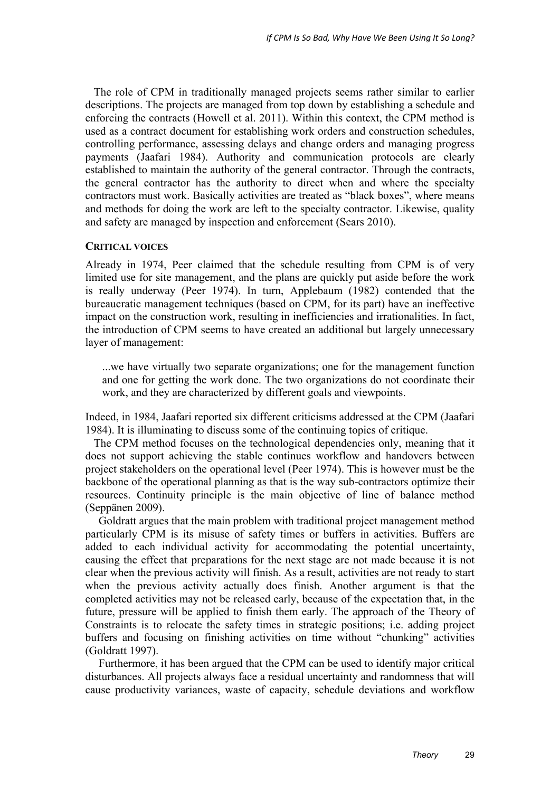The role of CPM in traditionally managed projects seems rather similar to earlier descriptions. The projects are managed from top down by establishing a schedule and enforcing the contracts (Howell et al. 2011). Within this context, the CPM method is used as a contract document for establishing work orders and construction schedules, controlling performance, assessing delays and change orders and managing progress payments (Jaafari 1984). Authority and communication protocols are clearly established to maintain the authority of the general contractor. Through the contracts, the general contractor has the authority to direct when and where the specialty contractors must work. Basically activities are treated as "black boxes", where means and methods for doing the work are left to the specialty contractor. Likewise, quality and safety are managed by inspection and enforcement (Sears 2010).

#### **CRITICAL VOICES**

Already in 1974, Peer claimed that the schedule resulting from CPM is of very limited use for site management, and the plans are quickly put aside before the work is really underway (Peer 1974). In turn, Applebaum (1982) contended that the bureaucratic management techniques (based on CPM, for its part) have an ineffective impact on the construction work, resulting in inefficiencies and irrationalities. In fact, the introduction of CPM seems to have created an additional but largely unnecessary layer of management:

...we have virtually two separate organizations; one for the management function and one for getting the work done. The two organizations do not coordinate their work, and they are characterized by different goals and viewpoints.

Indeed, in 1984, Jaafari reported six different criticisms addressed at the CPM (Jaafari 1984). It is illuminating to discuss some of the continuing topics of critique.

 The CPM method focuses on the technological dependencies only, meaning that it does not support achieving the stable continues workflow and handovers between project stakeholders on the operational level (Peer 1974). This is however must be the backbone of the operational planning as that is the way sub-contractors optimize their resources. Continuity principle is the main objective of line of balance method (Seppänen 2009).

Goldratt argues that the main problem with traditional project management method particularly CPM is its misuse of safety times or buffers in activities. Buffers are added to each individual activity for accommodating the potential uncertainty, causing the effect that preparations for the next stage are not made because it is not clear when the previous activity will finish. As a result, activities are not ready to start when the previous activity actually does finish. Another argument is that the completed activities may not be released early, because of the expectation that, in the future, pressure will be applied to finish them early. The approach of the Theory of Constraints is to relocate the safety times in strategic positions; i.e. adding project buffers and focusing on finishing activities on time without "chunking" activities (Goldratt 1997).

Furthermore, it has been argued that the CPM can be used to identify major critical disturbances. All projects always face a residual uncertainty and randomness that will cause productivity variances, waste of capacity, schedule deviations and workflow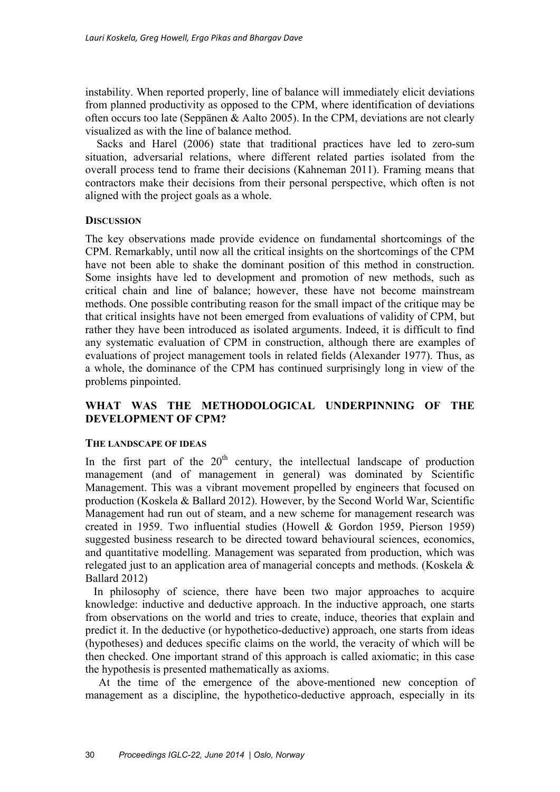instability. When reported properly, line of balance will immediately elicit deviations from planned productivity as opposed to the CPM, where identification of deviations often occurs too late (Seppänen & Aalto 2005). In the CPM, deviations are not clearly visualized as with the line of balance method.

 Sacks and Harel (2006) state that traditional practices have led to zero-sum situation, adversarial relations, where different related parties isolated from the overall process tend to frame their decisions (Kahneman 2011). Framing means that contractors make their decisions from their personal perspective, which often is not aligned with the project goals as a whole.

## **DISCUSSION**

The key observations made provide evidence on fundamental shortcomings of the CPM. Remarkably, until now all the critical insights on the shortcomings of the CPM have not been able to shake the dominant position of this method in construction. Some insights have led to development and promotion of new methods, such as critical chain and line of balance; however, these have not become mainstream methods. One possible contributing reason for the small impact of the critique may be that critical insights have not been emerged from evaluations of validity of CPM, but rather they have been introduced as isolated arguments. Indeed, it is difficult to find any systematic evaluation of CPM in construction, although there are examples of evaluations of project management tools in related fields (Alexander 1977). Thus, as a whole, the dominance of the CPM has continued surprisingly long in view of the problems pinpointed.

## **WHAT WAS THE METHODOLOGICAL UNDERPINNING OF THE DEVELOPMENT OF CPM?**

#### **THE LANDSCAPE OF IDEAS**

In the first part of the  $20<sup>th</sup>$  century, the intellectual landscape of production management (and of management in general) was dominated by Scientific Management. This was a vibrant movement propelled by engineers that focused on production (Koskela & Ballard 2012). However, by the Second World War, Scientific Management had run out of steam, and a new scheme for management research was created in 1959. Two influential studies (Howell & Gordon 1959, Pierson 1959) suggested business research to be directed toward behavioural sciences, economics, and quantitative modelling. Management was separated from production, which was relegated just to an application area of managerial concepts and methods. (Koskela & Ballard 2012)

 In philosophy of science, there have been two major approaches to acquire knowledge: inductive and deductive approach. In the inductive approach, one starts from observations on the world and tries to create, induce, theories that explain and predict it. In the deductive (or hypothetico-deductive) approach, one starts from ideas (hypotheses) and deduces specific claims on the world, the veracity of which will be then checked. One important strand of this approach is called axiomatic; in this case the hypothesis is presented mathematically as axioms.

At the time of the emergence of the above-mentioned new conception of management as a discipline, the hypothetico-deductive approach, especially in its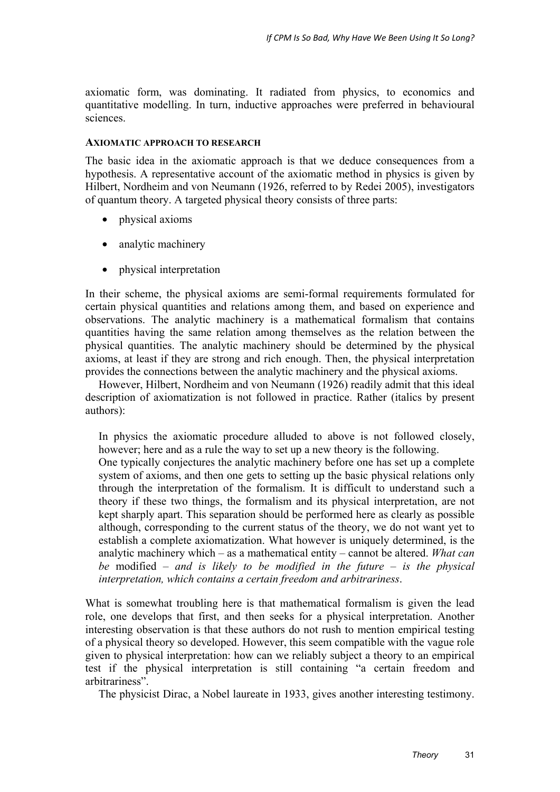axiomatic form, was dominating. It radiated from physics, to economics and quantitative modelling. In turn, inductive approaches were preferred in behavioural sciences.

#### **AXIOMATIC APPROACH TO RESEARCH**

The basic idea in the axiomatic approach is that we deduce consequences from a hypothesis. A representative account of the axiomatic method in physics is given by Hilbert, Nordheim and von Neumann (1926, referred to by Redei 2005), investigators of quantum theory. A targeted physical theory consists of three parts:

- physical axioms
- analytic machinery
- physical interpretation

In their scheme, the physical axioms are semi-formal requirements formulated for certain physical quantities and relations among them, and based on experience and observations. The analytic machinery is a mathematical formalism that contains quantities having the same relation among themselves as the relation between the physical quantities. The analytic machinery should be determined by the physical axioms, at least if they are strong and rich enough. Then, the physical interpretation provides the connections between the analytic machinery and the physical axioms.

However, Hilbert, Nordheim and von Neumann (1926) readily admit that this ideal description of axiomatization is not followed in practice. Rather (italics by present authors):

In physics the axiomatic procedure alluded to above is not followed closely, however; here and as a rule the way to set up a new theory is the following. One typically conjectures the analytic machinery before one has set up a complete system of axioms, and then one gets to setting up the basic physical relations only through the interpretation of the formalism. It is difficult to understand such a theory if these two things, the formalism and its physical interpretation, are not kept sharply apart. This separation should be performed here as clearly as possible although, corresponding to the current status of the theory, we do not want yet to establish a complete axiomatization. What however is uniquely determined, is the analytic machinery which – as a mathematical entity – cannot be altered. *What can be* modified *– and is likely to be modified in the future – is the physical interpretation, which contains a certain freedom and arbitrariness*.

What is somewhat troubling here is that mathematical formalism is given the lead role, one develops that first, and then seeks for a physical interpretation. Another interesting observation is that these authors do not rush to mention empirical testing of a physical theory so developed. However, this seem compatible with the vague role given to physical interpretation: how can we reliably subject a theory to an empirical test if the physical interpretation is still containing "a certain freedom and arbitrariness".

The physicist Dirac, a Nobel laureate in 1933, gives another interesting testimony.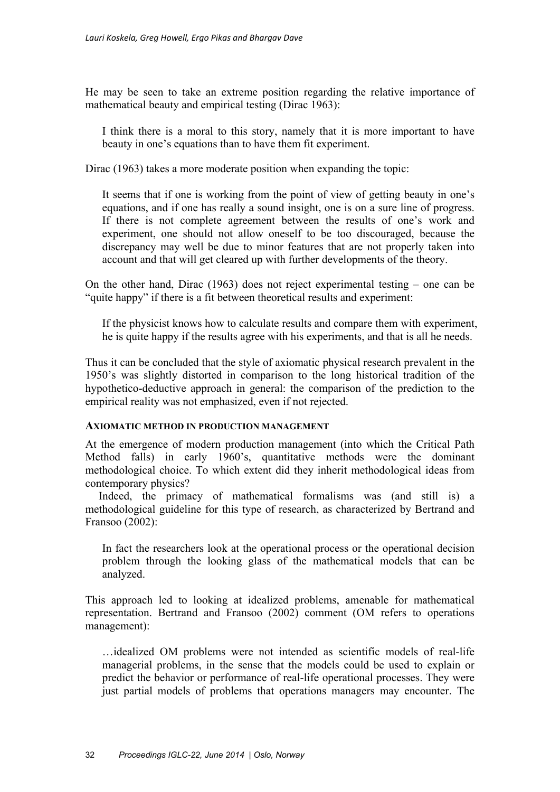He may be seen to take an extreme position regarding the relative importance of mathematical beauty and empirical testing (Dirac 1963):

I think there is a moral to this story, namely that it is more important to have beauty in one's equations than to have them fit experiment.

Dirac (1963) takes a more moderate position when expanding the topic:

It seems that if one is working from the point of view of getting beauty in one's equations, and if one has really a sound insight, one is on a sure line of progress. If there is not complete agreement between the results of one's work and experiment, one should not allow oneself to be too discouraged, because the discrepancy may well be due to minor features that are not properly taken into account and that will get cleared up with further developments of the theory.

On the other hand, Dirac (1963) does not reject experimental testing – one can be "quite happy" if there is a fit between theoretical results and experiment:

If the physicist knows how to calculate results and compare them with experiment, he is quite happy if the results agree with his experiments, and that is all he needs.

Thus it can be concluded that the style of axiomatic physical research prevalent in the 1950's was slightly distorted in comparison to the long historical tradition of the hypothetico-deductive approach in general: the comparison of the prediction to the empirical reality was not emphasized, even if not rejected.

#### **AXIOMATIC METHOD IN PRODUCTION MANAGEMENT**

At the emergence of modern production management (into which the Critical Path Method falls) in early 1960's, quantitative methods were the dominant methodological choice. To which extent did they inherit methodological ideas from contemporary physics?

Indeed, the primacy of mathematical formalisms was (and still is) a methodological guideline for this type of research, as characterized by Bertrand and Fransoo (2002):

In fact the researchers look at the operational process or the operational decision problem through the looking glass of the mathematical models that can be analyzed.

This approach led to looking at idealized problems, amenable for mathematical representation. Bertrand and Fransoo (2002) comment (OM refers to operations management):

…idealized OM problems were not intended as scientific models of real-life managerial problems, in the sense that the models could be used to explain or predict the behavior or performance of real-life operational processes. They were just partial models of problems that operations managers may encounter. The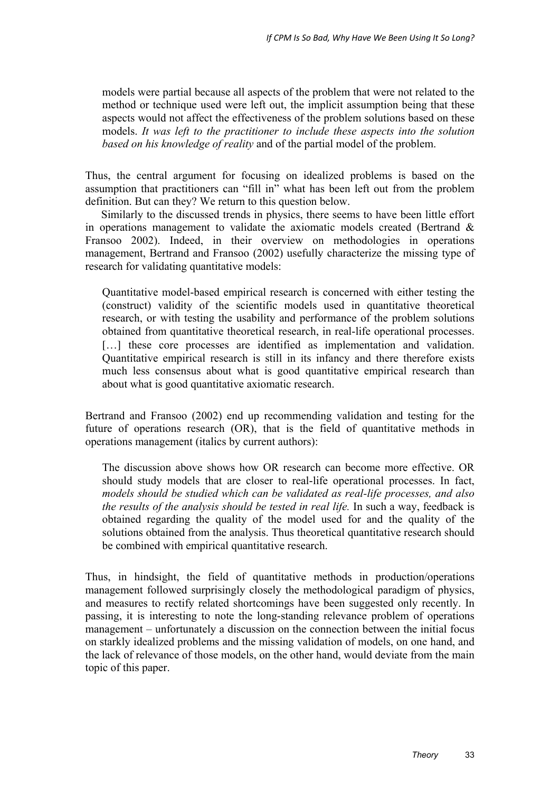models were partial because all aspects of the problem that were not related to the method or technique used were left out, the implicit assumption being that these aspects would not affect the effectiveness of the problem solutions based on these models. *It was left to the practitioner to include these aspects into the solution based on his knowledge of reality* and of the partial model of the problem.

Thus, the central argument for focusing on idealized problems is based on the assumption that practitioners can "fill in" what has been left out from the problem definition. But can they? We return to this question below.

Similarly to the discussed trends in physics, there seems to have been little effort in operations management to validate the axiomatic models created (Bertrand & Fransoo 2002). Indeed, in their overview on methodologies in operations management, Bertrand and Fransoo (2002) usefully characterize the missing type of research for validating quantitative models:

Quantitative model-based empirical research is concerned with either testing the (construct) validity of the scientific models used in quantitative theoretical research, or with testing the usability and performance of the problem solutions obtained from quantitative theoretical research, in real-life operational processes. [...] these core processes are identified as implementation and validation. Quantitative empirical research is still in its infancy and there therefore exists much less consensus about what is good quantitative empirical research than about what is good quantitative axiomatic research.

Bertrand and Fransoo (2002) end up recommending validation and testing for the future of operations research (OR), that is the field of quantitative methods in operations management (italics by current authors):

The discussion above shows how OR research can become more effective. OR should study models that are closer to real-life operational processes. In fact, *models should be studied which can be validated as real-life processes, and also the results of the analysis should be tested in real life.* In such a way, feedback is obtained regarding the quality of the model used for and the quality of the solutions obtained from the analysis. Thus theoretical quantitative research should be combined with empirical quantitative research.

Thus, in hindsight, the field of quantitative methods in production/operations management followed surprisingly closely the methodological paradigm of physics, and measures to rectify related shortcomings have been suggested only recently. In passing, it is interesting to note the long-standing relevance problem of operations management – unfortunately a discussion on the connection between the initial focus on starkly idealized problems and the missing validation of models, on one hand, and the lack of relevance of those models, on the other hand, would deviate from the main topic of this paper.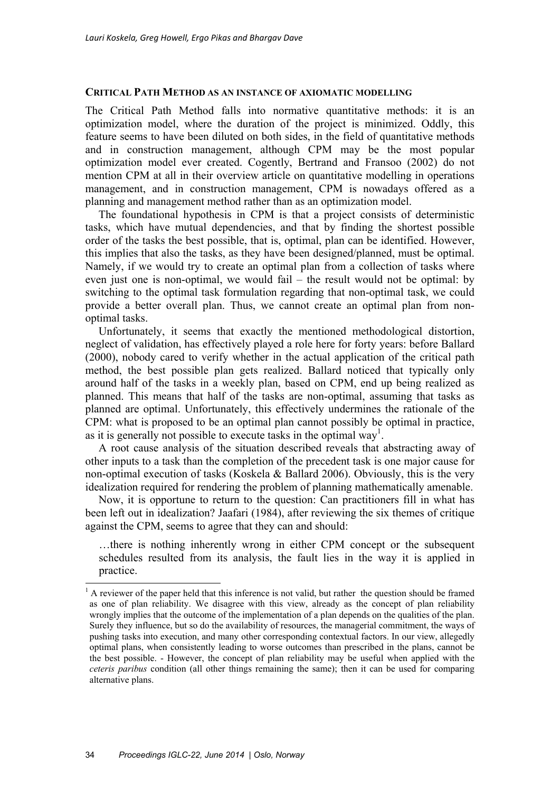#### **CRITICAL PATH METHOD AS AN INSTANCE OF AXIOMATIC MODELLING**

The Critical Path Method falls into normative quantitative methods: it is an optimization model, where the duration of the project is minimized. Oddly, this feature seems to have been diluted on both sides, in the field of quantitative methods and in construction management, although CPM may be the most popular optimization model ever created. Cogently, Bertrand and Fransoo (2002) do not mention CPM at all in their overview article on quantitative modelling in operations management, and in construction management, CPM is nowadays offered as a planning and management method rather than as an optimization model.

The foundational hypothesis in CPM is that a project consists of deterministic tasks, which have mutual dependencies, and that by finding the shortest possible order of the tasks the best possible, that is, optimal, plan can be identified. However, this implies that also the tasks, as they have been designed/planned, must be optimal. Namely, if we would try to create an optimal plan from a collection of tasks where even just one is non-optimal, we would fail – the result would not be optimal: by switching to the optimal task formulation regarding that non-optimal task, we could provide a better overall plan. Thus, we cannot create an optimal plan from nonoptimal tasks.

Unfortunately, it seems that exactly the mentioned methodological distortion, neglect of validation, has effectively played a role here for forty years: before Ballard (2000), nobody cared to verify whether in the actual application of the critical path method, the best possible plan gets realized. Ballard noticed that typically only around half of the tasks in a weekly plan, based on CPM, end up being realized as planned. This means that half of the tasks are non-optimal, assuming that tasks as planned are optimal. Unfortunately, this effectively undermines the rationale of the CPM: what is proposed to be an optimal plan cannot possibly be optimal in practice, as it is generally not possible to execute tasks in the optimal way<sup>1</sup>.

A root cause analysis of the situation described reveals that abstracting away of other inputs to a task than the completion of the precedent task is one major cause for non-optimal execution of tasks (Koskela & Ballard 2006). Obviously, this is the very idealization required for rendering the problem of planning mathematically amenable.

Now, it is opportune to return to the question: Can practitioners fill in what has been left out in idealization? Jaafari (1984), after reviewing the six themes of critique against the CPM, seems to agree that they can and should:

…there is nothing inherently wrong in either CPM concept or the subsequent schedules resulted from its analysis, the fault lies in the way it is applied in practice.

 $<sup>1</sup>$  A reviewer of the paper held that this inference is not valid, but rather the question should be framed</sup> as one of plan reliability. We disagree with this view, already as the concept of plan reliability wrongly implies that the outcome of the implementation of a plan depends on the qualities of the plan. Surely they influence, but so do the availability of resources, the managerial commitment, the ways of pushing tasks into execution, and many other corresponding contextual factors. In our view, allegedly optimal plans, when consistently leading to worse outcomes than prescribed in the plans, cannot be the best possible. - However, the concept of plan reliability may be useful when applied with the *ceteris paribus* condition (all other things remaining the same); then it can be used for comparing alternative plans.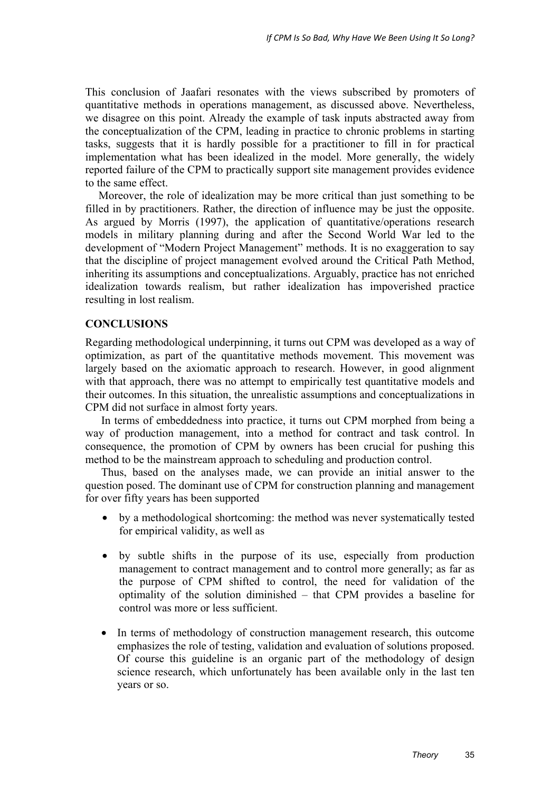This conclusion of Jaafari resonates with the views subscribed by promoters of quantitative methods in operations management, as discussed above. Nevertheless, we disagree on this point. Already the example of task inputs abstracted away from the conceptualization of the CPM, leading in practice to chronic problems in starting tasks, suggests that it is hardly possible for a practitioner to fill in for practical implementation what has been idealized in the model. More generally, the widely reported failure of the CPM to practically support site management provides evidence to the same effect.

Moreover, the role of idealization may be more critical than just something to be filled in by practitioners. Rather, the direction of influence may be just the opposite. As argued by Morris (1997), the application of quantitative/operations research models in military planning during and after the Second World War led to the development of "Modern Project Management" methods. It is no exaggeration to say that the discipline of project management evolved around the Critical Path Method, inheriting its assumptions and conceptualizations. Arguably, practice has not enriched idealization towards realism, but rather idealization has impoverished practice resulting in lost realism.

## **CONCLUSIONS**

Regarding methodological underpinning, it turns out CPM was developed as a way of optimization, as part of the quantitative methods movement. This movement was largely based on the axiomatic approach to research. However, in good alignment with that approach, there was no attempt to empirically test quantitative models and their outcomes. In this situation, the unrealistic assumptions and conceptualizations in CPM did not surface in almost forty years.

In terms of embeddedness into practice, it turns out CPM morphed from being a way of production management, into a method for contract and task control. In consequence, the promotion of CPM by owners has been crucial for pushing this method to be the mainstream approach to scheduling and production control.

Thus, based on the analyses made, we can provide an initial answer to the question posed. The dominant use of CPM for construction planning and management for over fifty years has been supported

- by a methodological shortcoming: the method was never systematically tested for empirical validity, as well as
- by subtle shifts in the purpose of its use, especially from production management to contract management and to control more generally; as far as the purpose of CPM shifted to control, the need for validation of the optimality of the solution diminished – that CPM provides a baseline for control was more or less sufficient.
- In terms of methodology of construction management research, this outcome emphasizes the role of testing, validation and evaluation of solutions proposed. Of course this guideline is an organic part of the methodology of design science research, which unfortunately has been available only in the last ten years or so.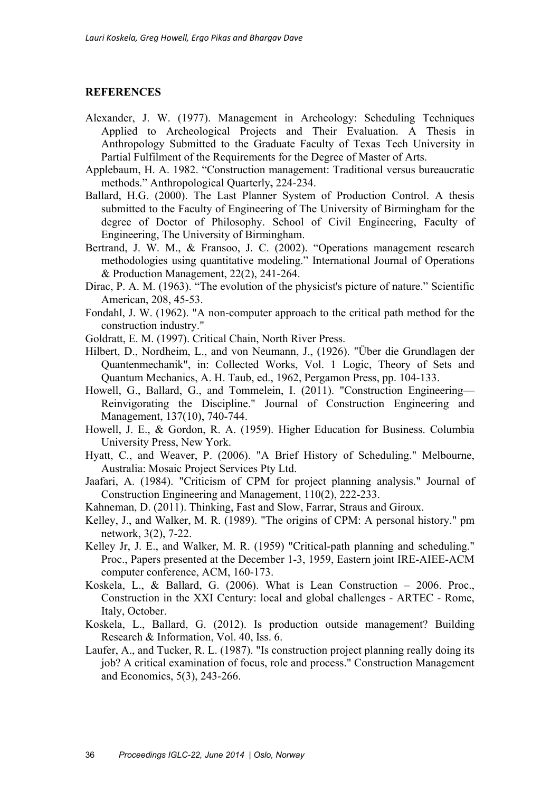#### **REFERENCES**

- Alexander, J. W. (1977). Management in Archeology: Scheduling Techniques Applied to Archeological Projects and Their Evaluation. A Thesis in Anthropology Submitted to the Graduate Faculty of Texas Tech University in Partial Fulfilment of the Requirements for the Degree of Master of Arts.
- Applebaum, H. A. 1982. "Construction management: Traditional versus bureaucratic methods." Anthropological Quarterly**,** 224-234.
- Ballard, H.G. (2000). The Last Planner System of Production Control. A thesis submitted to the Faculty of Engineering of The University of Birmingham for the degree of Doctor of Philosophy. School of Civil Engineering, Faculty of Engineering, The University of Birmingham.
- Bertrand, J. W. M., & Fransoo, J. C. (2002). "Operations management research methodologies using quantitative modeling." International Journal of Operations & Production Management, 22(2), 241-264.
- Dirac, P. A. M. (1963). "The evolution of the physicist's picture of nature." Scientific American, 208, 45-53.
- Fondahl, J. W. (1962). "A non-computer approach to the critical path method for the construction industry."
- Goldratt, E. M. (1997). Critical Chain, North River Press.
- Hilbert, D., Nordheim, L., and von Neumann, J., (1926). "Über die Grundlagen der Quantenmechanik", in: Collected Works, Vol. 1 Logic, Theory of Sets and Quantum Mechanics, A. H. Taub, ed., 1962, Pergamon Press, pp. 104-133.
- Howell, G., Ballard, G., and Tommelein, I. (2011). "Construction Engineering— Reinvigorating the Discipline." Journal of Construction Engineering and Management, 137(10), 740-744.
- Howell, J. E., & Gordon, R. A. (1959). Higher Education for Business. Columbia University Press, New York.
- Hyatt, C., and Weaver, P. (2006). "A Brief History of Scheduling." Melbourne, Australia: Mosaic Project Services Pty Ltd.
- Jaafari, A. (1984). "Criticism of CPM for project planning analysis." Journal of Construction Engineering and Management, 110(2), 222-233.
- Kahneman, D. (2011). Thinking, Fast and Slow, Farrar, Straus and Giroux.
- Kelley, J., and Walker, M. R. (1989). "The origins of CPM: A personal history." pm network, 3(2), 7-22.
- Kelley Jr, J. E., and Walker, M. R. (1959) "Critical-path planning and scheduling." Proc., Papers presented at the December 1-3, 1959, Eastern joint IRE-AIEE-ACM computer conference, ACM, 160-173.
- Koskela, L., & Ballard, G. (2006). What is Lean Construction 2006. Proc., Construction in the XXI Century: local and global challenges - ARTEC - Rome, Italy, October.
- Koskela, L., Ballard, G. (2012). Is production outside management? Building Research & Information, Vol. 40, Iss. 6.
- Laufer, A., and Tucker, R. L. (1987). "Is construction project planning really doing its job? A critical examination of focus, role and process." Construction Management and Economics, 5(3), 243-266.